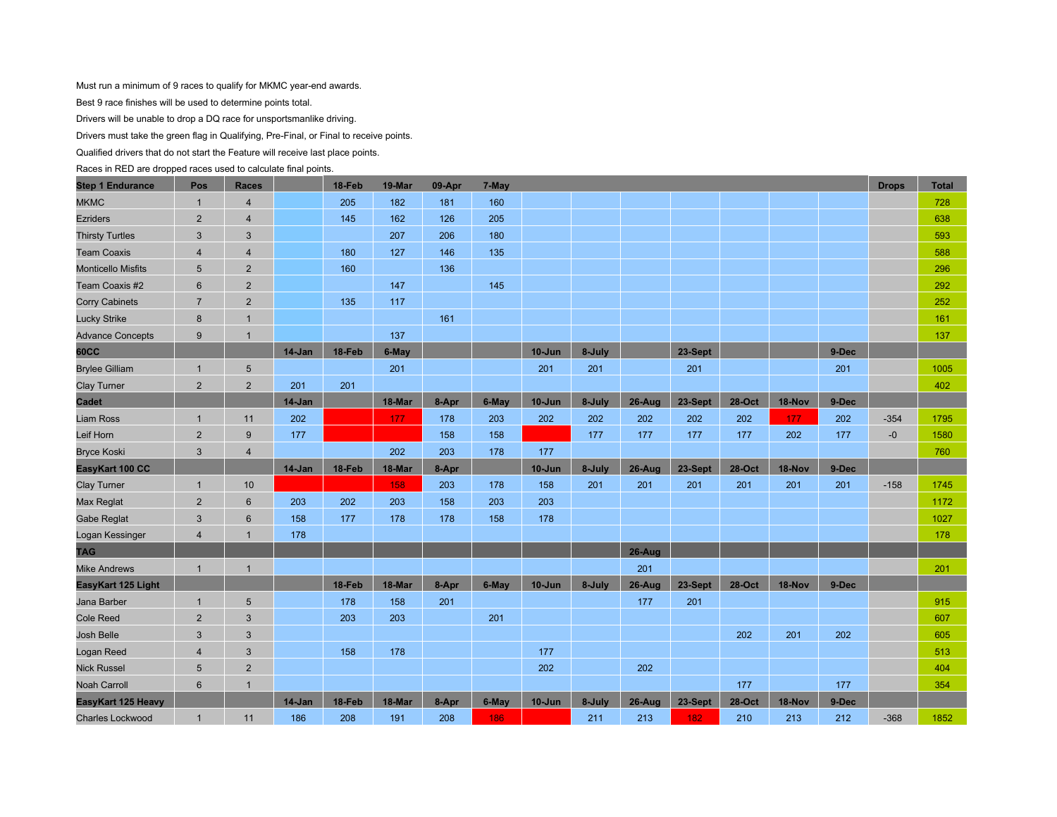Must run a minimum of 9 races to qualify for MKMC year-end awards.

Best 9 race finishes will be used to determine points total.

Drivers will be unable to drop a DQ race for unsportsmanlike driving.

Drivers must take the green flag in Qualifying, Pre-Final, or Final to receive points.

Qualified drivers that do not start the Feature will receive last place points.

Races in RED are dropped races used to calculate final points.

| <b>Step 1 Endurance</b>   | Pos             | <b>Races</b>   |          | 18-Feb | 19-Mar | 09-Apr | 7-May |            |        |           |         |               |        |       | <b>Drops</b> | <b>Total</b> |
|---------------------------|-----------------|----------------|----------|--------|--------|--------|-------|------------|--------|-----------|---------|---------------|--------|-------|--------------|--------------|
| <b>MKMC</b>               | $\mathbf{1}$    | $\overline{4}$ |          | 205    | 182    | 181    | 160   |            |        |           |         |               |        |       |              | 728          |
| <b>Ezriders</b>           | $\overline{2}$  | $\overline{4}$ |          | 145    | 162    | 126    | 205   |            |        |           |         |               |        |       |              | 638          |
| <b>Thirsty Turtles</b>    | $\mathbf{3}$    | $\sqrt{3}$     |          |        | 207    | 206    | 180   |            |        |           |         |               |        |       |              | 593          |
| <b>Team Coaxis</b>        | $\overline{4}$  | $\overline{4}$ |          | 180    | 127    | 146    | 135   |            |        |           |         |               |        |       |              | 588          |
| <b>Monticello Misfits</b> | 5               | $\overline{2}$ |          | 160    |        | 136    |       |            |        |           |         |               |        |       |              | 296          |
| Team Coaxis #2            | $6\phantom{1}6$ | $\overline{2}$ |          |        | 147    |        | 145   |            |        |           |         |               |        |       |              | 292          |
| <b>Corry Cabinets</b>     | $\overline{7}$  | $\overline{2}$ |          | 135    | 117    |        |       |            |        |           |         |               |        |       |              | 252          |
| <b>Lucky Strike</b>       | $\bf 8$         | $\overline{1}$ |          |        |        | 161    |       |            |        |           |         |               |        |       |              | 161          |
| <b>Advance Concepts</b>   | 9               | $\overline{1}$ |          |        | 137    |        |       |            |        |           |         |               |        |       |              | 137          |
| <b>60CC</b>               |                 |                | 14-Jan   | 18-Feb | 6-May  |        |       | $10 - Jun$ | 8-July |           | 23-Sept |               |        | 9-Dec |              |              |
| <b>Brylee Gilliam</b>     | $\mathbf{1}$    | 5              |          |        | 201    |        |       | 201        | 201    |           | 201     |               |        | 201   |              | 1005         |
| <b>Clay Turner</b>        | $\overline{2}$  | $\overline{2}$ | 201      | 201    |        |        |       |            |        |           |         |               |        |       |              | 402          |
| <b>Cadet</b>              |                 |                | $14-Jan$ |        | 18-Mar | 8-Apr  | 6-May | $10 - Jun$ | 8-July | $26-Au$ g | 23-Sept | <b>28-Oct</b> | 18-Nov | 9-Dec |              |              |
| <b>Liam Ross</b>          | $\mathbf{1}$    | 11             | 202      |        | 177    | 178    | 203   | 202        | 202    | 202       | 202     | 202           | 177    | 202   | $-354$       | 1795         |
| Leif Horn                 | 2               | 9              | 177      |        |        | 158    | 158   |            | 177    | 177       | 177     | 177           | 202    | 177   | $-0$         | 1580         |
| <b>Bryce Koski</b>        | 3               | $\overline{4}$ |          |        | 202    | 203    | 178   | 177        |        |           |         |               |        |       |              | 760          |
| EasyKart 100 CC           |                 |                | 14-Jan   | 18-Feb | 18-Mar | 8-Apr  |       | $10 - Jun$ | 8-July | $26-Au$ g | 23-Sept | 28-Oct        | 18-Nov | 9-Dec |              |              |
| <b>Clay Turner</b>        | $\mathbf{1}$    | 10             |          |        | 158    | 203    | 178   | 158        | 201    | 201       | 201     | 201           | 201    | 201   | $-158$       | 1745         |
| <b>Max Reglat</b>         | $\overline{2}$  | $6\phantom{1}$ | 203      | 202    | 203    | 158    | 203   | 203        |        |           |         |               |        |       |              | 1172         |
| <b>Gabe Reglat</b>        | 3               | $6\phantom{1}$ | 158      | 177    | 178    | 178    | 158   | 178        |        |           |         |               |        |       |              | 1027         |
| Logan Kessinger           | 4               | 1              | 178      |        |        |        |       |            |        |           |         |               |        |       |              | 178          |
| <b>TAG</b>                |                 |                |          |        |        |        |       |            |        | $26-Au$ g |         |               |        |       |              |              |
| <b>Mike Andrews</b>       | $\mathbf{1}$    | $\overline{1}$ |          |        |        |        |       |            |        | 201       |         |               |        |       |              | 201          |
| EasyKart 125 Light        |                 |                |          | 18-Feb | 18-Mar | 8-Apr  | 6-May | $10 - Jun$ | 8-July | $26-Auq$  | 23-Sept | 28-Oct        | 18-Nov | 9-Dec |              |              |
| Jana Barber               | $\mathbf{1}$    | 5              |          | 178    | 158    | 201    |       |            |        | 177       | 201     |               |        |       |              | 915          |
| <b>Cole Reed</b>          | 2               | 3              |          | 203    | 203    |        | 201   |            |        |           |         |               |        |       |              | 607          |
| <b>Josh Belle</b>         | $\mathbf{3}$    | 3              |          |        |        |        |       |            |        |           |         | 202           | 201    | 202   |              | 605          |
| Logan Reed                | $\overline{4}$  | $\sqrt{3}$     |          | 158    | 178    |        |       | 177        |        |           |         |               |        |       |              | 513          |
| <b>Nick Russel</b>        | 5               | $\overline{2}$ |          |        |        |        |       | 202        |        | 202       |         |               |        |       |              | 404          |
| <b>Noah Carroll</b>       | $6\phantom{1}6$ | 1              |          |        |        |        |       |            |        |           |         | 177           |        | 177   |              | 354          |
| EasyKart 125 Heavy        |                 |                | 14-Jan   | 18-Feb | 18-Mar | 8-Apr  | 6-May | $10 - Jun$ | 8-July | $26-Auq$  | 23-Sept | <b>28-Oct</b> | 18-Nov | 9-Dec |              |              |
| <b>Charles Lockwood</b>   | $\overline{1}$  | 11             | 186      | 208    | 191    | 208    | 186   |            | 211    | 213       | 182     | 210           | 213    | 212   | $-368$       | 1852         |